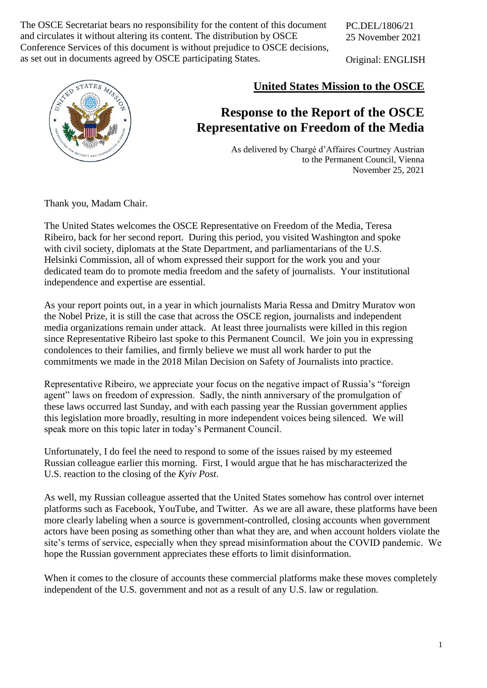and circulates it without altering its content. The distribution by OSCE The OSCE Secretariat bears no responsibility for the content of this document Conference Services of this document is without prejudice to OSCE decisions, as set out in documents agreed by OSCE participating States.

PC.DEL/1806/21 25 November 2021

Original: ENGLISH



## **United States Mission to the OSCE**

## **Response to the Report of the OSCE Representative on Freedom of the Media**

As delivered by Chargé d'Affaires Courtney Austrian to the Permanent Council, Vienna November 25, 2021

Thank you, Madam Chair.

The United States welcomes the OSCE Representative on Freedom of the Media, Teresa Ribeiro, back for her second report. During this period, you visited Washington and spoke with civil society, diplomats at the State Department, and parliamentarians of the U.S. Helsinki Commission, all of whom expressed their support for the work you and your dedicated team do to promote media freedom and the safety of journalists. Your institutional independence and expertise are essential.

As your report points out, in a year in which journalists Maria Ressa and Dmitry Muratov won the Nobel Prize, it is still the case that across the OSCE region, journalists and independent media organizations remain under attack. At least three journalists were killed in this region since Representative Ribeiro last spoke to this Permanent Council. We join you in expressing condolences to their families, and firmly believe we must all work harder to put the commitments we made in the 2018 Milan Decision on Safety of Journalists into practice.

Representative Ribeiro, we appreciate your focus on the negative impact of Russia's "foreign agent" laws on freedom of expression. Sadly, the ninth anniversary of the promulgation of these laws occurred last Sunday, and with each passing year the Russian government applies this legislation more broadly, resulting in more independent voices being silenced. We will speak more on this topic later in today's Permanent Council.

Unfortunately, I do feel the need to respond to some of the issues raised by my esteemed Russian colleague earlier this morning. First, I would argue that he has mischaracterized the U.S. reaction to the closing of the *Kyiv Post*.

As well, my Russian colleague asserted that the United States somehow has control over internet platforms such as Facebook, YouTube, and Twitter. As we are all aware, these platforms have been more clearly labeling when a source is government-controlled, closing accounts when government actors have been posing as something other than what they are, and when account holders violate the site's terms of service, especially when they spread misinformation about the COVID pandemic. We hope the Russian government appreciates these efforts to limit disinformation.

When it comes to the closure of accounts these commercial platforms make these moves completely independent of the U.S. government and not as a result of any U.S. law or regulation.